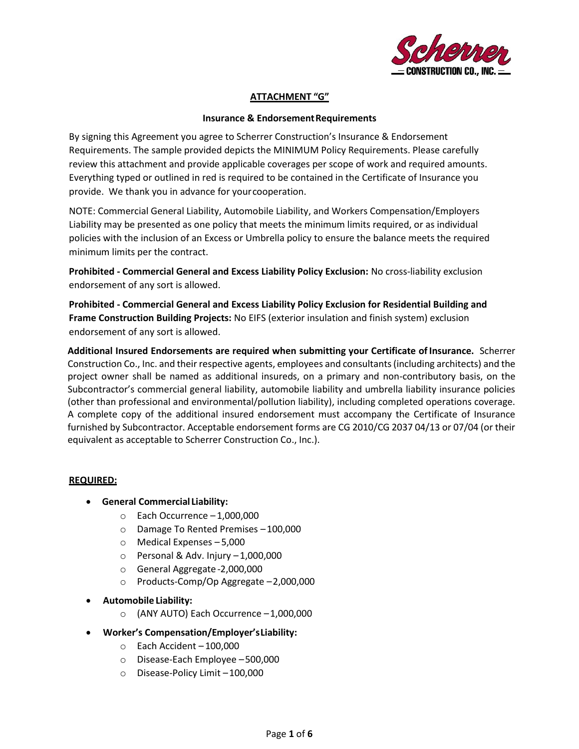

# **ATTACHMENT "G"**

#### **Insurance & Endorsement Requirements**

By signing this Agreement you agree to Scherrer Construction's Insurance & Endorsement Requirements. The sample provided depicts the MINIMUM Policy Requirements. Please carefully review this attachment and provide applicable coverages per scope of work and required amounts. Everything typed or outlined in red is required to be contained in the Certificate of Insurance you provide. We thank you in advance for yourcooperation.

NOTE: Commercial General Liability, Automobile Liability, and Workers Compensation/Employers Liability may be presented as one policy that meets the minimum limits required, or as individual policies with the inclusion of an Excess or Umbrella policy to ensure the balance meets the required minimum limits per the contract.

**Prohibited - Commercial General and Excess Liability Policy Exclusion:** No cross-liability exclusion endorsement of any sort is allowed.

**Prohibited - Commercial General and Excess Liability Policy Exclusion for Residential Building and Frame Construction Building Projects:** No EIFS (exterior insulation and finish system) exclusion endorsement of any sort is allowed.

**Additional Insured Endorsements are required when submitting your Certificate of Insurance.** Scherrer Construction Co., Inc. and their respective agents, employees and consultants (including architects) and the project owner shall be named as additional insureds, on a primary and non-contributory basis, on the Subcontractor's commercial general liability, automobile liability and umbrella liability insurance policies (other than professional and environmental/pollution liability), including completed operations coverage. A complete copy of the additional insured endorsement must accompany the Certificate of Insurance furnished by Subcontractor. Acceptable endorsement forms are CG 2010/CG 2037 04/13 or 07/04 (or their equivalent as acceptable to Scherrer Construction Co., Inc.).

#### **REQUIRED:**

- **General Commercial Liability:**
	- $\circ$  Each Occurrence  $-1,000,000$
	- o Damage To Rented Premises –100,000
	- o Medical Expenses 5,000
	- $\circ$  Personal & Adv. Injury -1,000,000
	- o General Aggregate -2,000,000
	- o Products-Comp/Op Aggregate –2,000,000
- **Automobile Liability:**
	- o (ANY AUTO) Each Occurrence –1,000,000
- **Worker's Compensation/Employer'sLiability:**
	- $\circ$  Each Accident  $-100,000$
	- o Disease-Each Employee –500,000
	- o Disease-Policy Limit –100,000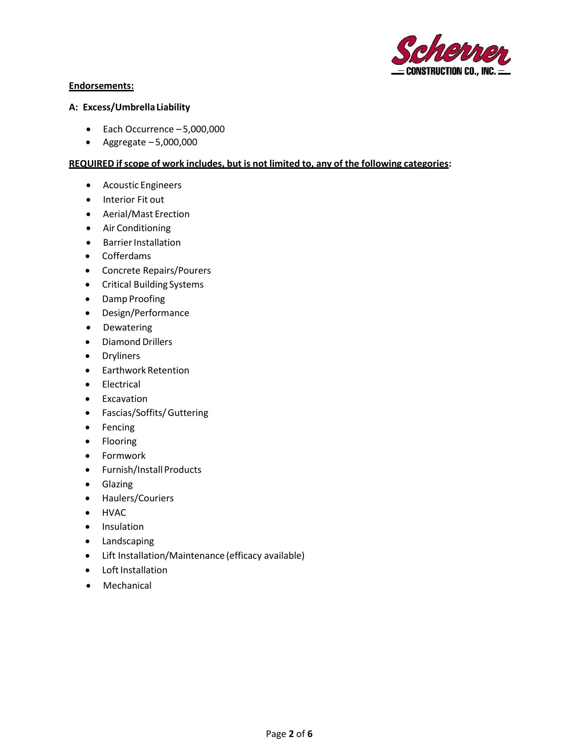

# **Endorsements:**

#### **A: Excess/UmbrellaLiability**

- Each Occurrence 5,000,000
- Aggregate 5,000,000

# **REQUIRED ifscope of work includes, but is not limited to, any of the following categories:**

- Acoustic Engineers
- Interior Fit out
- Aerial/Mast Erection
- Air Conditioning
- Barrier Installation
- Cofferdams
- Concrete Repairs/Pourers
- Critical Building Systems
- Damp Proofing
- Design/Performance
- Dewatering
- Diamond Drillers
- Dryliners
- Earthwork Retention
- Electrical
- Excavation
- Fascias/Soffits/Guttering
- Fencing
- Flooring
- Formwork
- Furnish/Install Products
- Glazing
- Haulers/Couriers
- HVAC
- Insulation
- Landscaping
- Lift Installation/Maintenance (efficacy available)
- Loft Installation
- Mechanical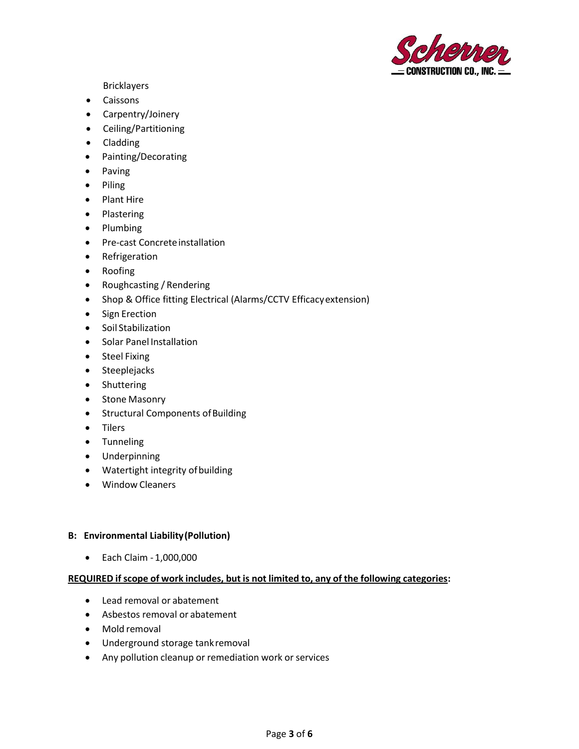

Bricklayers

- Caissons
- Carpentry/Joinery
- Ceiling/Partitioning
- Cladding
- Painting/Decorating
- Paving
- Piling
- Plant Hire
- Plastering
- Plumbing
- Pre-cast Concrete installation
- Refrigeration
- Roofing
- Roughcasting / Rendering
- Shop & Office fitting Electrical (Alarms/CCTV Efficacyextension)
- Sign Erection
- Soil Stabilization
- Solar Panel Installation
- Steel Fixing
- Steeplejacks
- Shuttering
- Stone Masonry
- Structural Components of Building
- Tilers
- Tunneling
- Underpinning
- Watertight integrity of building
- Window Cleaners

# **B: Environmental Liability(Pollution)**

• Each Claim - 1,000,000

# **REQUIRED ifscope of work includes, but is not limited to, any of the following categories:**

- Lead removal or abatement
- Asbestos removal or abatement
- Mold removal
- Underground storage tankremoval
- Any pollution cleanup or remediation work or services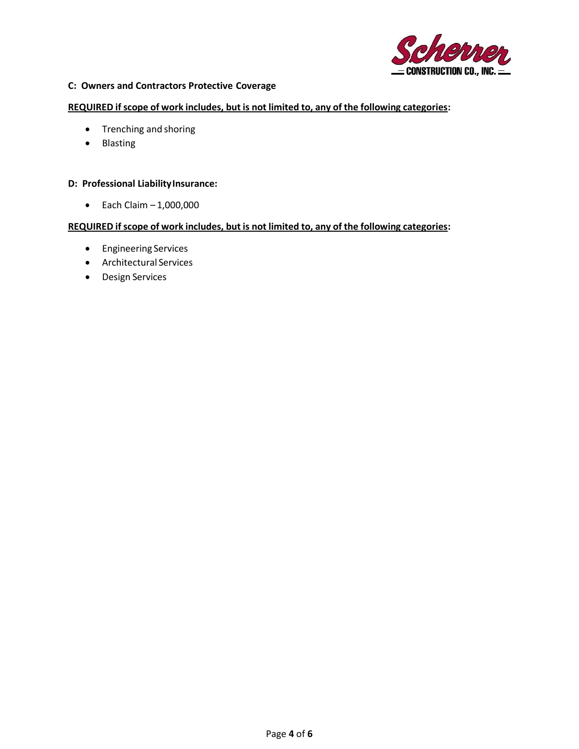

## **C: Owners and Contractors Protective Coverage**

**REQUIRED ifscope of work includes, but is not limited to, any of the following categories:**

- Trenching and shoring
- Blasting

## **D: Professional LiabilityInsurance:**

 $\bullet$  Each Claim  $-1,000,000$ 

## **REQUIRED ifscope of work includes, but is not limited to, any of the following categories:**

- Engineering Services
- Architectural Services
- Design Services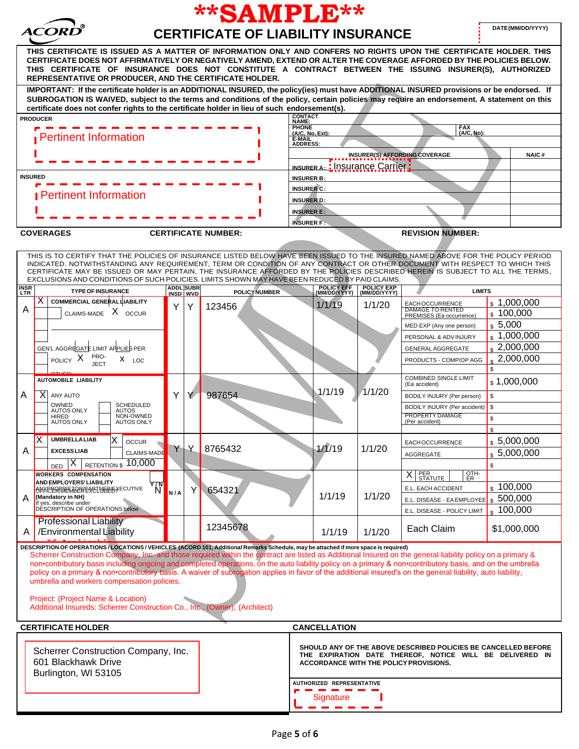| **SAMPLE**                                                                                                                                                                                                                                                                                                                                                                                                                                                                                                                                                                                                                                                                                                                                                                                          |                                                                                      |                              |   |                            |                                                                                                                      |                                                                                                                                                                                                   |                                                 |                                                                              |                                        |  |
|-----------------------------------------------------------------------------------------------------------------------------------------------------------------------------------------------------------------------------------------------------------------------------------------------------------------------------------------------------------------------------------------------------------------------------------------------------------------------------------------------------------------------------------------------------------------------------------------------------------------------------------------------------------------------------------------------------------------------------------------------------------------------------------------------------|--------------------------------------------------------------------------------------|------------------------------|---|----------------------------|----------------------------------------------------------------------------------------------------------------------|---------------------------------------------------------------------------------------------------------------------------------------------------------------------------------------------------|-------------------------------------------------|------------------------------------------------------------------------------|----------------------------------------|--|
| DATE(MM/DD/YYYY)<br><b>CERTIFICATE OF LIABILITY INSURANCE</b>                                                                                                                                                                                                                                                                                                                                                                                                                                                                                                                                                                                                                                                                                                                                       |                                                                                      |                              |   |                            |                                                                                                                      |                                                                                                                                                                                                   |                                                 |                                                                              |                                        |  |
| THIS CERTIFICATE IS ISSUED AS A MATTER OF INFORMATION ONLY AND CONFERS NO RIGHTS UPON THE CERTIFICATE HOLDER. THIS<br>CERTIFICATE DOES NOT AFFIRMATIVELY OR NEGATIVELY AMEND, EXTEND OR ALTER THE COVERAGE AFFORDED BY THE POLICIES BELOW.<br>THIS CERTIFICATE OF INSURANCE DOES NOT CONSTITUTE A CONTRACT BETWEEN THE ISSUING INSURER(S), AUTHORIZED<br>REPRESENTATIVE OR PRODUCER, AND THE CERTIFICATE HOLDER.                                                                                                                                                                                                                                                                                                                                                                                    |                                                                                      |                              |   |                            |                                                                                                                      |                                                                                                                                                                                                   |                                                 |                                                                              |                                        |  |
| IMPORTANT: If the certificate holder is an ADDITIONAL INSURED, the policy(ies) must have ADDITIONAL INSURED provisions or be endorsed. If<br>SUBROGATION IS WAIVED, subject to the terms and conditions of the policy, certain policies may require an endorsement. A statement on this<br>certificate does not confer rights to the certificate holder in lieu of such endorsement(s).                                                                                                                                                                                                                                                                                                                                                                                                             |                                                                                      |                              |   |                            |                                                                                                                      |                                                                                                                                                                                                   |                                                 |                                                                              |                                        |  |
| <b>PRODUCER</b>                                                                                                                                                                                                                                                                                                                                                                                                                                                                                                                                                                                                                                                                                                                                                                                     | <b>CONTACT<br/>NAME:</b>                                                             |                              |   |                            |                                                                                                                      |                                                                                                                                                                                                   |                                                 |                                                                              |                                        |  |
| <b>Pertinent Information</b>                                                                                                                                                                                                                                                                                                                                                                                                                                                                                                                                                                                                                                                                                                                                                                        |                                                                                      |                              |   |                            | <b>PHONE</b><br>FAX<br>(A/C, No):<br>(A/C, No, Ext):<br>E-MAIL<br>ADDRESS:                                           |                                                                                                                                                                                                   |                                                 |                                                                              |                                        |  |
| <b>INSURED</b>                                                                                                                                                                                                                                                                                                                                                                                                                                                                                                                                                                                                                                                                                                                                                                                      |                                                                                      |                              |   |                            | <b>INSURER(S) AFFORDING COVERAGE</b><br><b>NAIC#</b><br><b>INSURER A:</b> : Insurance Carrier :<br><b>INSURER B:</b> |                                                                                                                                                                                                   |                                                 |                                                                              |                                        |  |
|                                                                                                                                                                                                                                                                                                                                                                                                                                                                                                                                                                                                                                                                                                                                                                                                     |                                                                                      |                              |   |                            | <b>INSURER C:</b>                                                                                                    |                                                                                                                                                                                                   |                                                 |                                                                              |                                        |  |
| <b>Pertinent Information</b>                                                                                                                                                                                                                                                                                                                                                                                                                                                                                                                                                                                                                                                                                                                                                                        |                                                                                      |                              |   |                            | <b>INSURER D:</b><br><b>INSURER E:</b><br><b>INSURER F:</b>                                                          |                                                                                                                                                                                                   |                                                 |                                                                              |                                        |  |
| <b>COVERAGES</b>                                                                                                                                                                                                                                                                                                                                                                                                                                                                                                                                                                                                                                                                                                                                                                                    |                                                                                      |                              |   | <b>CERTIFICATE NUMBER:</b> |                                                                                                                      |                                                                                                                                                                                                   |                                                 | <b>REVISION NUMBER:</b>                                                      |                                        |  |
| THIS IS TO CERTIFY THAT THE POLICIES OF INSURANCE LISTED BELOW HAVE BEEN ISSUED TO THE INSURED NAMED ABOVE FOR THE POLICY PERIOD<br>INDICATED. NOTWITHSTANDING ANY REQUIREMENT, TERM OR CONDITION OF ANY CONTRACT OR OTHER DOCUMENT WITH RESPECT TO WHICH THIS<br>CERTIFICATE MAY BE ISSUED OR MAY PERTAIN, THE INSURANCE AFFORDED BY THE POLICIES DESCRIBED HEREIN IS SUBJECT TO ALL THE TERMS,<br>EXCLUSIONS AND CONDITIONS OF SUCH POLICIES. LIMITS SHOWN MAY HAVE BEEN REDUCED BY PAID CLAIMS.                                                                                                                                                                                                                                                                                                  |                                                                                      |                              |   |                            |                                                                                                                      |                                                                                                                                                                                                   |                                                 |                                                                              |                                        |  |
| <b>INSR</b><br>LTR                                                                                                                                                                                                                                                                                                                                                                                                                                                                                                                                                                                                                                                                                                                                                                                  | <b>TYPE OF INSURANCE</b>                                                             | <b>ADDL SUBR</b><br>INSD WVD |   | <b>POLICYNUMBER</b>        |                                                                                                                      | POLICY EFF<br>(MM/DD/YYYY)                                                                                                                                                                        | POLICY EXP<br>(MM/DD/YYYY)                      | <b>LIMITS</b>                                                                |                                        |  |
| х<br>A                                                                                                                                                                                                                                                                                                                                                                                                                                                                                                                                                                                                                                                                                                                                                                                              | <b>COMMERCIAL GENERAL LIABILITY</b><br>CLAIMS-MADE X OCCUR                           | Y                            | Y | 123456                     |                                                                                                                      | 1/1/19                                                                                                                                                                                            | 1/1/20                                          | <b>EACHOCCURRENCE</b><br><b>DAMAGE TO RENTED</b><br>PREMISES (Ea occurrence) | \$1,000,000<br>\$100,000<br>\$5,000    |  |
|                                                                                                                                                                                                                                                                                                                                                                                                                                                                                                                                                                                                                                                                                                                                                                                                     |                                                                                      |                              |   |                            |                                                                                                                      |                                                                                                                                                                                                   |                                                 | MED EXP (Any one person)<br>PERSONAL & ADV INJURY                            | \$1,000,000                            |  |
| GEN'L AGGREGATE LIMIT APPLIES PER:                                                                                                                                                                                                                                                                                                                                                                                                                                                                                                                                                                                                                                                                                                                                                                  |                                                                                      |                              |   |                            |                                                                                                                      |                                                                                                                                                                                                   |                                                 | <b>GENERAL AGGREGATE</b>                                                     | $\frac{1}{2}$ ,000,000                 |  |
| PRO-<br>POLICY X<br>$X$ LOC<br><b>JECT</b>                                                                                                                                                                                                                                                                                                                                                                                                                                                                                                                                                                                                                                                                                                                                                          |                                                                                      |                              |   |                            |                                                                                                                      |                                                                                                                                                                                                   | PRODUCTS - COMP/OP AGG                          | 2,000,000                                                                    |                                        |  |
| AUTOMOBILE LIABILITY                                                                                                                                                                                                                                                                                                                                                                                                                                                                                                                                                                                                                                                                                                                                                                                |                                                                                      |                              |   |                            |                                                                                                                      |                                                                                                                                                                                                   |                                                 | <b>COMBINED SINGLE LIMIT</b><br>(Ea accident)                                | \$1,000,000                            |  |
| $\mathsf{X}$<br>ANY AUTO<br>Α                                                                                                                                                                                                                                                                                                                                                                                                                                                                                                                                                                                                                                                                                                                                                                       | OWNED<br><b>SCHEDULED</b><br><b>AUTOS ONLY</b><br>AUTOS<br>NON-OWNED<br><b>HIRED</b> |                              | Y | 987654                     | 1/1/19                                                                                                               | 1/1/20                                                                                                                                                                                            | BODILY INJURY (Per person)                      | \$                                                                           |                                        |  |
|                                                                                                                                                                                                                                                                                                                                                                                                                                                                                                                                                                                                                                                                                                                                                                                                     |                                                                                      |                              |   |                            |                                                                                                                      |                                                                                                                                                                                                   | BODILY INJURY (Per accident)<br>PROPERTY DAMAGE | \$<br>\$                                                                     |                                        |  |
| <b>AUTOS ONLY</b>                                                                                                                                                                                                                                                                                                                                                                                                                                                                                                                                                                                                                                                                                                                                                                                   | <b>AUTOS ONLY</b>                                                                    |                              |   |                            |                                                                                                                      |                                                                                                                                                                                                   |                                                 | (Per accident)                                                               | \$                                     |  |
| Χ<br><b>UMBRELLALIAB</b><br>Α<br><b>EXCESSLIAB</b>                                                                                                                                                                                                                                                                                                                                                                                                                                                                                                                                                                                                                                                                                                                                                  | X<br><b>OCCUR</b>                                                                    | YY                           |   | 8765432                    |                                                                                                                      | 1/1/19                                                                                                                                                                                            | 1/1/20                                          | <b>EACHOCCURRENCE</b>                                                        | \$5,000,000                            |  |
| X<br><b>DED</b>                                                                                                                                                                                                                                                                                                                                                                                                                                                                                                                                                                                                                                                                                                                                                                                     | <b>CLAIMS-MADE</b><br>10,000<br><b>RETENTION \$</b>                                  |                              |   |                            |                                                                                                                      |                                                                                                                                                                                                   |                                                 | AGGREGATE                                                                    | \$5,000,000                            |  |
| <b>WORKERS COMPENSATION</b>                                                                                                                                                                                                                                                                                                                                                                                                                                                                                                                                                                                                                                                                                                                                                                         |                                                                                      |                              |   |                            |                                                                                                                      |                                                                                                                                                                                                   |                                                 | OTH-<br>ER<br>PER<br>STATUTE<br>X                                            |                                        |  |
| <b>AND EMPLOYERS' LIABILITY</b><br><b>OPFICERRREMERESSEINERGXECUTIVE</b><br>(Mandatory in NH)                                                                                                                                                                                                                                                                                                                                                                                                                                                                                                                                                                                                                                                                                                       | $\sqrt[N]{}$                                                                         | 654321<br>Y<br>N/A           |   |                            |                                                                                                                      | 1/1/19                                                                                                                                                                                            | 1/1/20                                          | E.L. EACH ACCIDENT                                                           | $\frac{100,000}{100,000}$<br>\$500,000 |  |
| If yes, describe under<br>DESCRIPTION OF OPERATIONS below                                                                                                                                                                                                                                                                                                                                                                                                                                                                                                                                                                                                                                                                                                                                           |                                                                                      |                              |   |                            |                                                                                                                      |                                                                                                                                                                                                   |                                                 | E.L. DISEASE - EA EMPLOYEE<br>E.L. DISEASE - POLICY LIMIT                    | 100,000                                |  |
| <b>Professional Liability</b><br>A   /Environmental Liability                                                                                                                                                                                                                                                                                                                                                                                                                                                                                                                                                                                                                                                                                                                                       |                                                                                      |                              |   | 12345678                   |                                                                                                                      | 1/1/19                                                                                                                                                                                            | 1/1/20                                          | Each Claim                                                                   | \$1,000,000                            |  |
| DESCRIPTION OF OPERATIONS / LOCATIONS / VEHICLES (ACORD 101, Additional Remarks Schedule, may be attached if more space is required)<br>Scherrer Construction Company, Inc. and those required within the contract are listed as Additional Insured on the general liability policy on a primary &<br>non•contributory basis including ongoing and completed operations, on the auto liability policy on a primary & non•contributory basis, and on the umbrella<br>policy on a primary & non-contributory basis. A waiver of subrogation applies in favor of the additional insured's on the general liability, auto liability,<br>umbrella and workers compensation policies.<br>Project: (Project Name & Location)<br>Additional Insureds: Scherrer Construction Co., Inc., (Owner), (Architect) |                                                                                      |                              |   |                            |                                                                                                                      |                                                                                                                                                                                                   |                                                 |                                                                              |                                        |  |
| <b>CERTIFICATE HOLDER</b>                                                                                                                                                                                                                                                                                                                                                                                                                                                                                                                                                                                                                                                                                                                                                                           |                                                                                      |                              |   |                            |                                                                                                                      | <b>CANCELLATION</b>                                                                                                                                                                               |                                                 |                                                                              |                                        |  |
| Scherrer Construction Company, Inc.<br>601 Blackhawk Drive<br>Burlington, WI 53105                                                                                                                                                                                                                                                                                                                                                                                                                                                                                                                                                                                                                                                                                                                  |                                                                                      |                              |   |                            |                                                                                                                      | SHOULD ANY OF THE ABOVE DESCRIBED POLICIES BE CANCELLED BEFORE<br>THE EXPIRATION DATE THEREOF, NOTICE WILL BE DELIVERED IN<br>ACCORDANCE WITH THE POLICY PROVISIONS.<br>AUTHORIZED REPRESENTATIVE |                                                 |                                                                              |                                        |  |
|                                                                                                                                                                                                                                                                                                                                                                                                                                                                                                                                                                                                                                                                                                                                                                                                     |                                                                                      |                              |   |                            |                                                                                                                      | Signature                                                                                                                                                                                         |                                                 |                                                                              |                                        |  |